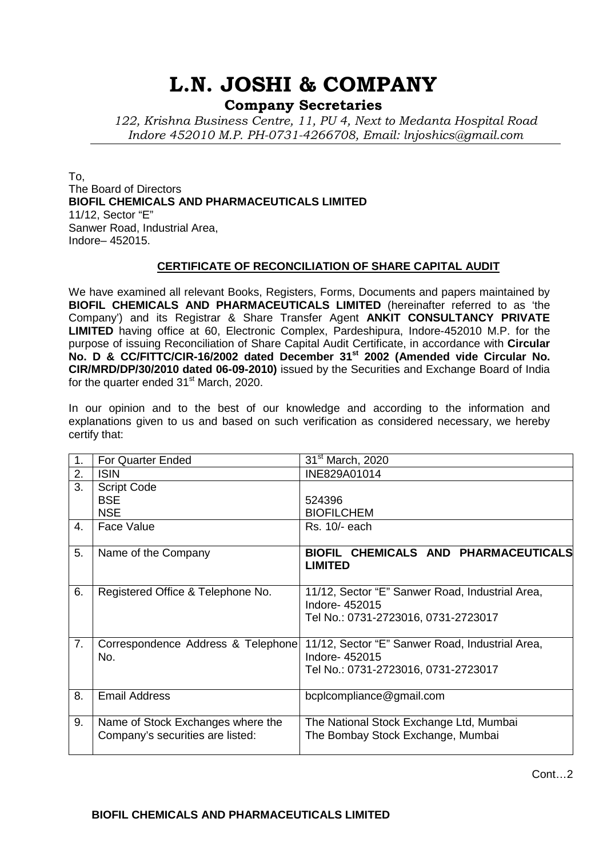## **L.N. JOSHI & COMPANY**

**Company Secretaries**

*122, Krishna Business Centre, 11, PU 4, Next to Medanta Hospital Road Indore 452010 M.P. PH-0731-4266708, Email: lnjoshics@gmail.com* 

To, The Board of Directors **[BIOFIL CHEMICALS AND PHARMACEUTICALS LIMITED](http://www.mca.gov.in/mcafoportal/viewCompanyMasterData.do)** 11/12, Sector "E" Sanwer Road, Industrial Area, Indore– 452015.

## **CERTIFICATE OF RECONCILIATION OF SHARE CAPITAL AUDIT**

We have examined all relevant Books, Registers, Forms, Documents and papers maintained by **BIOFIL CHEMICALS AND PHARMACEUTICALS LIMITED** (hereinafter referred to as 'the Company') and its Registrar & Share Transfer Agent **ANKIT CONSULTANCY PRIVATE LIMITED** having office at 60, Electronic Complex, Pardeshipura, Indore-452010 M.P. for the purpose of issuing Reconciliation of Share Capital Audit Certificate, in accordance with **Circular No. D & CC/FITTC/CIR-16/2002 dated December 31st 2002 (Amended vide Circular No. CIR/MRD/DP/30/2010 dated 06-09-2010)** issued by the Securities and Exchange Board of India for the quarter ended  $31<sup>st</sup>$  March, 2020.

In our opinion and to the best of our knowledge and according to the information and explanations given to us and based on such verification as considered necessary, we hereby certify that:

|    | <b>For Quarter Ended</b>                                              | 31 <sup>st</sup> March, 2020                                                                            |
|----|-----------------------------------------------------------------------|---------------------------------------------------------------------------------------------------------|
| 2. | <b>ISIN</b>                                                           | INE829A01014                                                                                            |
| 3. | <b>Script Code</b>                                                    |                                                                                                         |
|    | <b>BSE</b>                                                            | 524396                                                                                                  |
|    | <b>NSE</b>                                                            | <b>BIOFILCHEM</b>                                                                                       |
| 4. | <b>Face Value</b>                                                     | Rs. 10/- each                                                                                           |
| 5. | Name of the Company                                                   | BIOFIL CHEMICALS AND PHARMACEUTICALS<br><b>LIMITED</b>                                                  |
| 6. | Registered Office & Telephone No.                                     | 11/12, Sector "E" Sanwer Road, Industrial Area,<br>Indore-452015<br>Tel No.: 0731-2723016, 0731-2723017 |
| 7. | Correspondence Address & Telephone<br>No.                             | 11/12, Sector "E" Sanwer Road, Industrial Area,<br>Indore-452015                                        |
|    |                                                                       | Tel No.: 0731-2723016, 0731-2723017                                                                     |
| 8. | <b>Email Address</b>                                                  | bcplcompliance@gmail.com                                                                                |
| 9. | Name of Stock Exchanges where the<br>Company's securities are listed: | The National Stock Exchange Ltd, Mumbai<br>The Bombay Stock Exchange, Mumbai                            |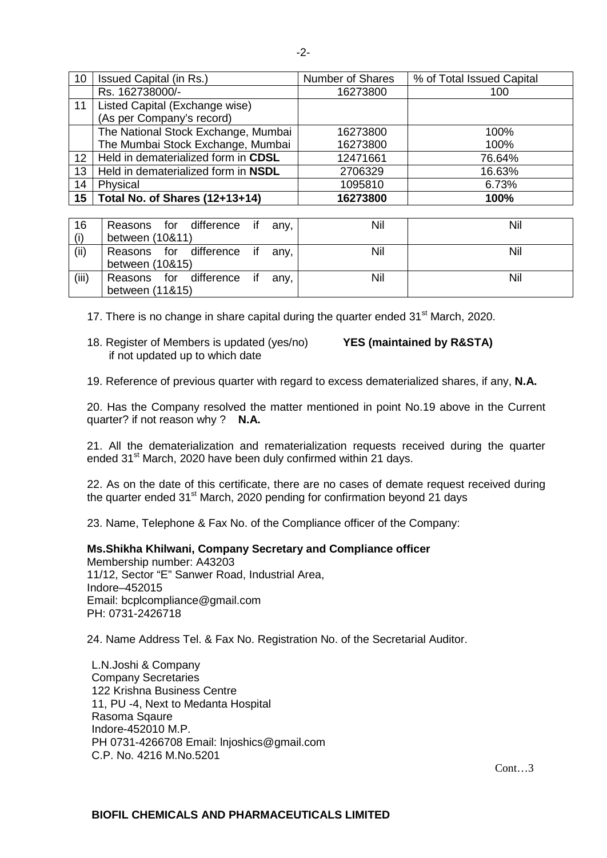| 10              | Issued Capital (in Rs.)               | <b>Number of Shares</b> | % of Total Issued Capital |
|-----------------|---------------------------------------|-------------------------|---------------------------|
|                 | Rs. 162738000/-                       | 16273800                | 100                       |
| 11              | Listed Capital (Exchange wise)        |                         |                           |
|                 | (As per Company's record)             |                         |                           |
|                 | The National Stock Exchange, Mumbai   | 16273800                | 100%                      |
|                 | The Mumbai Stock Exchange, Mumbai     | 16273800                | 100%                      |
| 12 <sup>2</sup> | Held in dematerialized form in CDSL   | 12471661                | 76.64%                    |
| 13              | Held in dematerialized form in NSDL   | 2706329                 | 16.63%                    |
| 14              | Physical                              | 1095810                 | 6.73%                     |
| 15 <sub>1</sub> | <b>Total No. of Shares (12+13+14)</b> | 16273800                | 100%                      |

| 16    | Reasons for difference if      | any, | Nil | Nil |
|-------|--------------------------------|------|-----|-----|
| (i)   | between (10&11)                |      |     |     |
| (ii)  | Reasons for difference if any, |      | Nil | Nil |
|       | between (10&15)                |      |     |     |
| (iii) | Reasons for difference if any, |      | Nil | Nil |
|       | between (11&15)                |      |     |     |

17. There is no change in share capital during the quarter ended  $31<sup>st</sup>$  March, 2020.

18. Register of Members is updated (yes/no) **YES (maintained by R&STA)** if not updated up to which date

19. Reference of previous quarter with regard to excess dematerialized shares, if any, **N.A.**

20. Has the Company resolved the matter mentioned in point No.19 above in the Current quarter? if not reason why ? **N.A.** 

21. All the dematerialization and rematerialization requests received during the quarter ended 31<sup>st</sup> March, 2020 have been duly confirmed within 21 days.

22. As on the date of this certificate, there are no cases of demate request received during the quarter ended  $31<sup>st</sup>$  March, 2020 pending for confirmation beyond 21 days

23. Name, Telephone & Fax No. of the Compliance officer of the Company:

**Ms.Shikha Khilwani, Company Secretary and Compliance officer**  Membership number: A43203 11/12, Sector "E" Sanwer Road, Industrial Area, Indore–452015 Email: bcplcompliance@gmail.com PH: 0731-2426718

24. Name Address Tel. & Fax No. Registration No. of the Secretarial Auditor.

L.N.Joshi & Company Company Secretaries 122 Krishna Business Centre 11, PU -4, Next to Medanta Hospital Rasoma Sqaure Indore-452010 M.P. PH 0731-4266708 Email: lnjoshics@gmail.com C.P. No. 4216 M.No.5201

Cont<sup>3</sup>